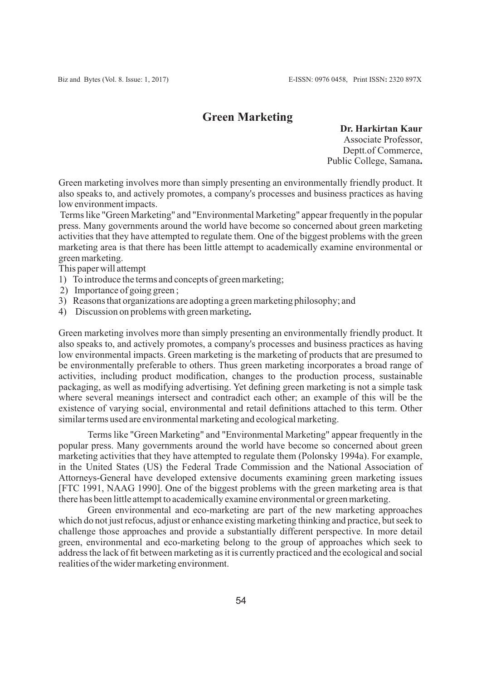# **Green Marketing**

**Dr. Harkirtan Kaur** Associate Professor, Deptt.of Commerce, Public College, Samana**.**

Green marketing involves more than simply presenting an environmentally friendly product. It also speaks to, and actively promotes, a company's processes and business practices as having low environment impacts.

Terms like "Green Marketing" and "Environmental Marketing" appear frequently in the popular press. Many governments around the world have become so concerned about green marketing activities that they have attempted to regulate them. One of the biggest problems with the green marketing area is that there has been little attempt to academically examine environmental or green marketing.

This paper will attempt

- 1) To introduce the terms and concepts of green marketing;
- 2) Importance of going green ;
- 3) Reasons that organizations are adopting a green marketing philosophy; and
- 4) Discussion on problems with green marketing**.**

Green marketing involves more than simply presenting an environmentally friendly product. It also speaks to, and actively promotes, a company's processes and business practices as having low environmental impacts. Green marketing is the marketing of products that are presumed to be environmentally preferable to others. Thus green marketing incorporates a broad range of activities, including product modification, changes to the production process, sustainable packaging, as well as modifying advertising. Yet defining green marketing is not a simple task where several meanings intersect and contradict each other; an example of this will be the existence of varying social, environmental and retail definitions attached to this term. Other similar terms used are environmental marketing and ecological marketing.

Terms like "Green Marketing" and "Environmental Marketing" appear frequently in the popular press. Many governments around the world have become so concerned about green marketing activities that they have attempted to regulate them (Polonsky 1994a). For example, in the United States (US) the Federal Trade Commission and the National Association of Attorneys-General have developed extensive documents examining green marketing issues [FTC 1991, NAAG 1990]. One of the biggest problems with the green marketing area is that there has been little attempt to academically examine environmental or green marketing.

Green environmental and eco-marketing are part of the new marketing approaches which do not just refocus, adjust or enhance existing marketing thinking and practice, but seek to challenge those approaches and provide a substantially different perspective. In more detail green, environmental and eco-marketing belong to the group of approaches which seek to address the lack of fit between marketing as it is currently practiced and the ecological and social realities of the wider marketing environment.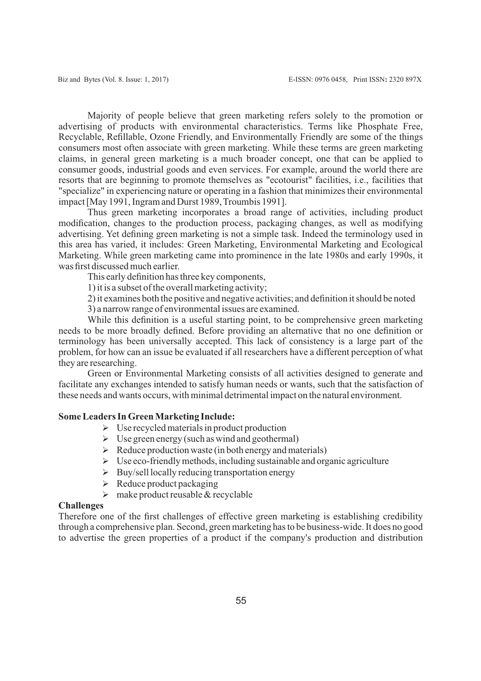Majority of people believe that green marketing refers solely to the promotion or advertising of products with environmental characteristics. Terms like Phosphate Free, Recyclable, Refillable, Ozone Friendly, and Environmentally Friendly are some of the things consumers most often associate with green marketing. While these terms are green marketing claims, in general green marketing is a much broader concept, one that can be applied to consumer goods, industrial goods and even services. For example, around the world there are resorts that are beginning to promote themselves as "ecotourist" facilities, i.e., facilities that "specialize" in experiencing nature or operating in a fashion that minimizes their environmental impact [May 1991, Ingram and Durst 1989, Troumbis 1991].

Thus green marketing incorporates a broad range of activities, including product modification, changes to the production process, packaging changes, as well as modifying advertising. Yet defining green marketing is not a simple task. Indeed the terminology used in this area has varied, it includes: Green Marketing, Environmental Marketing and Ecological Marketing. While green marketing came into prominence in the late 1980s and early 1990s, it was first discussed much earlier.

This early definition has three key components,

1) it is a subset of the overall marketing activity;

2) it examines both the positive and negative activities; and definition it should be noted

3) a narrow range of environmental issues are examined.

While this definition is a useful starting point, to be comprehensive green marketing needs to be more broadly defined. Before providing an alternative that no one definition or terminology has been universally accepted. This lack of consistency is a large part of the problem, for how can an issue be evaluated if all researchers have a different perception of what they are researching.

Green or Environmental Marketing consists of all activities designed to generate and facilitate any exchanges intended to satisfy human needs or wants, such that the satisfaction of these needs and wants occurs, with minimal detrimental impact on the natural environment.

# **Some Leaders In Green Marketing Include:**

- $\triangleright$  Use recycled materials in product production
- $\triangleright$  Use green energy (such as wind and geothermal)
- $\triangleright$  Reduce production waste (in both energy and materials)
- $\triangleright$  Use eco-friendly methods, including sustainable and organic agriculture
- $\triangleright$  Buy/sell locally reducing transportation energy
- $\triangleright$  Reduce product packaging
- $\triangleright$  make product reusable & recyclable

## **Challenges**

Therefore one of the first challenges of effective green marketing is establishing credibility through a comprehensive plan. Second, green marketing has to be business-wide. It does no good to advertise the green properties of a product if the company's production and distribution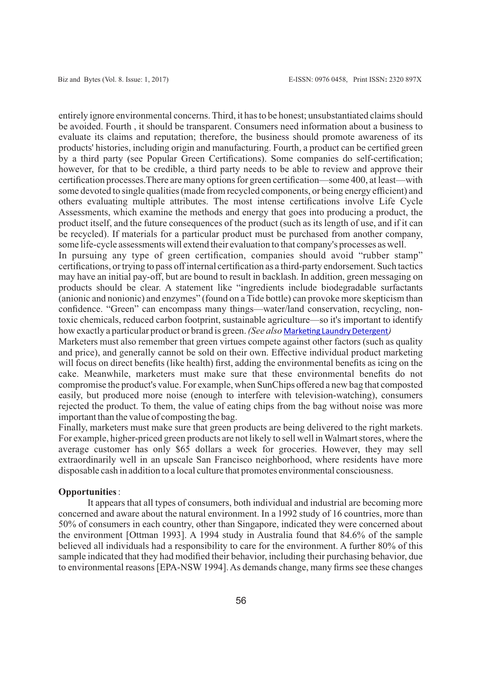entirely ignore environmental concerns. Third, it has to be honest; unsubstantiated claims should be avoided. Fourth , it should be transparent. Consumers need information about a business to evaluate its claims and reputation; therefore, the business should promote awareness of its products' histories, including origin and manufacturing. Fourth, a product can be certified green by a third party (see Popular Green Certifications). Some companies do self-certification; however, for that to be credible, a third party needs to be able to review and approve their certification processes.There are many options for green certification—some 400, at least—with some devoted to single qualities (made from recycled components, or being energy efficient) and others evaluating multiple attributes. The most intense certifications involve Life Cycle Assessments, which examine the methods and energy that goes into producing a product, the product itself, and the future consequences of the product (such as its length of use, and if it can be recycled). If materials for a particular product must be purchased from another company, some life-cycle assessments will extend their evaluation to that company's processes as well.

In pursuing any type of green certification, companies should avoid "rubber stamp" certifications, or trying to pass off internal certification as a third-party endorsement. Such tactics may have an initial pay-off, but are bound to result in backlash. In addition, green messaging on products should be clear. A statement like "ingredients include biodegradable surfactants (anionic and nonionic) and enzymes" (found on a Tide bottle) can provoke more skepticism than confidence. "Green" can encompass many things—water/land conservation, recycling, nontoxic chemicals, reduced carbon footprint, sustainable agriculture—so it's important to identify how exactly a particular product or brand is green. *(See also* Marketing Laundry Detergent)

Marketers must also remember that green virtues compete against other factors (such as quality and price), and generally cannot be sold on their own. Effective individual product marketing will focus on direct benefits (like health) first, adding the environmental benefits as icing on the cake. Meanwhile, marketers must make sure that these environmental benefits do not compromise the product's value. For example, when SunChips offered a new bag that composted easily, but produced more noise (enough to interfere with television-watching), consumers rejected the product. To them, the value of eating chips from the bag without noise was more important than the value of composting the bag.

Finally, marketers must make sure that green products are being delivered to the right markets. For example, higher-priced green products are not likely to sell well in Walmart stores, where the average customer has only \$65 dollars a week for groceries. However, they may sell extraordinarily well in an upscale San Francisco neighborhood, where residents have more disposable cash in addition to a local culture that promotes environmental consciousness.

#### **Opportunities**:

It appears that all types of consumers, both individual and industrial are becoming more concerned and aware about the natural environment. In a 1992 study of 16 countries, more than 50% of consumers in each country, other than Singapore, indicated they were concerned about the environment [Ottman 1993]. A 1994 study in Australia found that 84.6% of the sample believed all individuals had a responsibility to care for the environment. A further 80% of this sample indicated that they had modified their behavior, including their purchasing behavior, due to environmental reasons [EPA-NSW 1994]. As demands change, many firms see these changes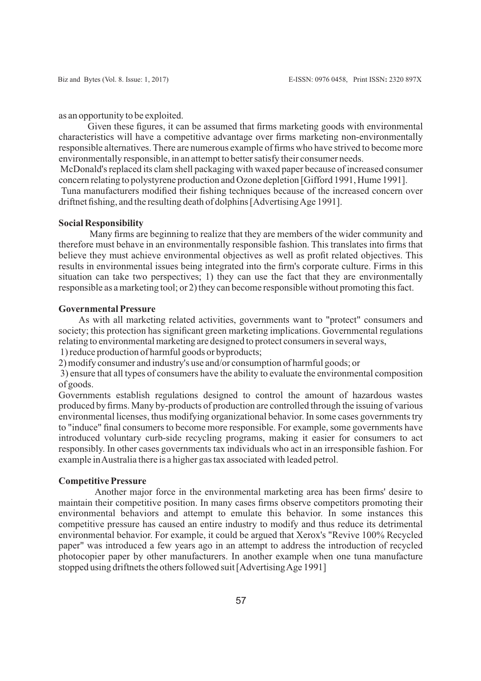as an opportunity to be exploited.

Given these figures, it can be assumed that firms marketing goods with environmental characteristics will have a competitive advantage over firms marketing non-environmentally responsible alternatives. There are numerous example of firms who have strived to become more environmentally responsible, in an attempt to better satisfy their consumer needs.

McDonald's replaced its clam shell packaging with waxed paper because of increased consumer concern relating to polystyrene production and Ozone depletion [Gifford 1991, Hume 1991].

Tuna manufacturers modified their fishing techniques because of the increased concern over driftnet fishing, and the resulting death of dolphins [Advertising Age 1991].

# **Social Responsibility**

Many firms are beginning to realize that they are members of the wider community and therefore must behave in an environmentally responsible fashion. This translates into firms that believe they must achieve environmental objectives as well as profit related objectives. This results in environmental issues being integrated into the firm's corporate culture. Firms in this situation can take two perspectives; 1) they can use the fact that they are environmentally responsible as a marketing tool; or 2) they can become responsible without promoting this fact.

## **Governmental Pressure**

As with all marketing related activities, governments want to "protect" consumers and society; this protection has significant green marketing implications. Governmental regulations relating to environmental marketing are designed to protect consumers in several ways,

1) reduce production of harmful goods or byproducts;

2) modify consumer and industry's use and/or consumption of harmful goods; or

3) ensure that all types of consumers have the ability to evaluate the environmental composition of goods.

Governments establish regulations designed to control the amount of hazardous wastes produced by firms. Many by-products of production are controlled through the issuing of various environmental licenses, thus modifying organizational behavior. In some cases governments try to "induce" final consumers to become more responsible. For example, some governments have introduced voluntary curb-side recycling programs, making it easier for consumers to act responsibly. In other cases governments tax individuals who act in an irresponsible fashion. For example in Australia there is a higher gas tax associated with leaded petrol.

# **CompetitivePressure**

Another major force in the environmental marketing area has been firms' desire to maintain their competitive position. In many cases firms observe competitors promoting their environmental behaviors and attempt to emulate this behavior. In some instances this competitive pressure has caused an entire industry to modify and thus reduce its detrimental environmental behavior. For example, it could be argued that Xerox's "Revive 100% Recycled paper" was introduced a few years ago in an attempt to address the introduction of recycled photocopier paper by other manufacturers. In another example when one tuna manufacture stopped using driftnets the others followed suit [Advertising Age 1991]